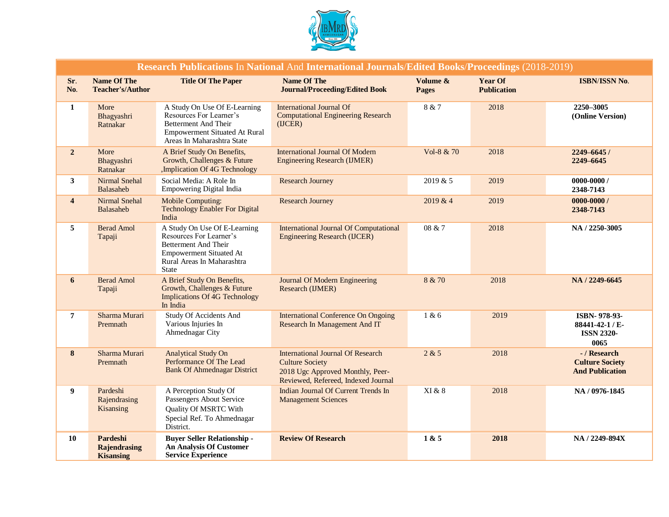

| Research Publications In National And International Journals/Edited Books/Proceedings (2018-2019) |                                                     |                                                                                                                                                                 |                                                                                                                                               |                          |                                      |                                                                  |  |  |  |
|---------------------------------------------------------------------------------------------------|-----------------------------------------------------|-----------------------------------------------------------------------------------------------------------------------------------------------------------------|-----------------------------------------------------------------------------------------------------------------------------------------------|--------------------------|--------------------------------------|------------------------------------------------------------------|--|--|--|
| Sr.<br>No.                                                                                        | <b>Name Of The</b><br><b>Teacher's/Author</b>       | <b>Title Of The Paper</b>                                                                                                                                       | Name Of The<br><b>Journal/Proceeding/Edited Book</b>                                                                                          | Volume &<br><b>Pages</b> | <b>Year Of</b><br><b>Publication</b> | ISBN/ISSN No.                                                    |  |  |  |
| 1                                                                                                 | More<br>Bhagyashri<br>Ratnakar                      | A Study On Use Of E-Learning<br>Resources For Learner's<br><b>Betterment And Their</b><br><b>Empowerment Situated At Rural</b><br>Areas In Maharashtra State    | <b>International Journal Of</b><br><b>Computational Engineering Research</b><br>(UCER)                                                        | 8 & 7                    | 2018                                 | 2250-3005<br>(Online Version)                                    |  |  |  |
| $\overline{2}$                                                                                    | More<br>Bhagyashri<br>Ratnakar                      | A Brief Study On Benefits,<br>Growth, Challenges & Future<br>,Implication Of 4G Technology                                                                      | <b>International Journal Of Modern</b><br><b>Engineering Research (IJMER)</b>                                                                 | Vol-8 & 70               | 2018                                 | 2249-6645/<br>2249-6645                                          |  |  |  |
| 3 <sup>1</sup>                                                                                    | Nirmal Snehal<br>Balasaheb                          | Social Media: A Role In<br>Empowering Digital India                                                                                                             | <b>Research Journey</b>                                                                                                                       | 2019 & 5                 | 2019                                 | $0000 - 0000 /$<br>2348-7143                                     |  |  |  |
| $\overline{\mathbf{4}}$                                                                           | <b>Nirmal Snehal</b><br>Balasaheb                   | <b>Mobile Computing:</b><br><b>Technology Enabler For Digital</b><br>India                                                                                      | <b>Research Journey</b>                                                                                                                       | 2019 & 4                 | 2019                                 | $0000 - 0000 /$<br>2348-7143                                     |  |  |  |
| 5                                                                                                 | <b>Berad Amol</b><br>Tapaji                         | A Study On Use Of E-Learning<br>Resources For Learner's<br><b>Betterment And Their</b><br><b>Empowerment Situated At</b><br>Rural Areas In Maharashtra<br>State | <b>International Journal Of Computational</b><br><b>Engineering Research (IJCER)</b>                                                          | 08 & 7                   | 2018                                 | NA / 2250-3005                                                   |  |  |  |
| 6                                                                                                 | <b>Berad Amol</b><br>Tapaji                         | A Brief Study On Benefits,<br>Growth, Challenges & Future<br><b>Implications Of 4G Technology</b><br>In India                                                   | Journal Of Modern Engineering<br>Research (IJMER)                                                                                             | 8 & 70                   | 2018                                 | NA / 2249-6645                                                   |  |  |  |
| $\overline{7}$                                                                                    | Sharma Murari<br>Premnath                           | <b>Study Of Accidents And</b><br>Various Injuries In<br>Ahmednagar City                                                                                         | <b>International Conference On Ongoing</b><br>Research In Management And IT                                                                   | 1 & 6                    | 2019                                 | ISBN-978-93-<br>88441-42-1 / E-<br><b>ISSN 2320-</b><br>0065     |  |  |  |
| 8                                                                                                 | Sharma Murari<br>Premnath                           | <b>Analytical Study On</b><br>Performance Of The Lead<br><b>Bank Of Ahmednagar District</b>                                                                     | <b>International Journal Of Research</b><br><b>Culture Society</b><br>2018 Ugc Approved Monthly, Peer-<br>Reviewed, Refereed, Indexed Journal | 2 & 5                    | 2018                                 | - / Research<br><b>Culture Society</b><br><b>And Publication</b> |  |  |  |
| 9                                                                                                 | Pardeshi<br>Rajendrasing<br>Kisansing               | A Perception Study Of<br>Passengers About Service<br>Quality Of MSRTC With<br>Special Ref. To Ahmednagar<br>District.                                           | Indian Journal Of Current Trends In<br><b>Management Sciences</b>                                                                             | XI & 8                   | 2018                                 | NA / 0976-1845                                                   |  |  |  |
| 10                                                                                                | Pardeshi<br><b>Rajendrasing</b><br><b>Kisansing</b> | <b>Buyer Seller Relationship -</b><br><b>An Analysis Of Customer</b><br><b>Service Experience</b>                                                               | <b>Review Of Research</b>                                                                                                                     | 1 & 5                    | 2018                                 | NA / 2249-894X                                                   |  |  |  |